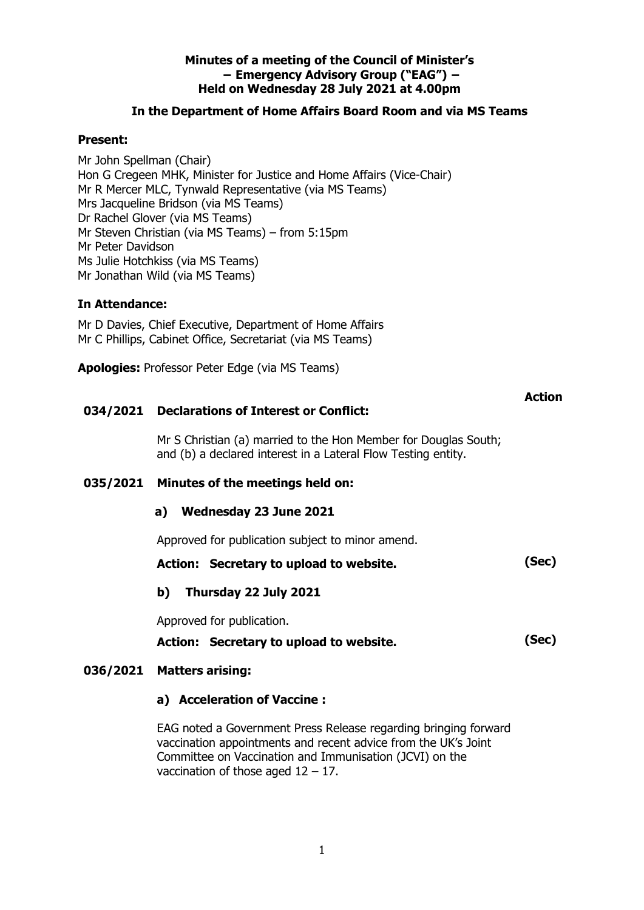### **Minutes of a meeting of the Council of Minister's − Emergency Advisory Group ("EAG") − Held on Wednesday 28 July 2021 at 4.00pm**

### **In the Department of Home Affairs Board Room and via MS Teams**

### **Present:**

Mr John Spellman (Chair) Hon G Cregeen MHK, Minister for Justice and Home Affairs (Vice-Chair) Mr R Mercer MLC, Tynwald Representative (via MS Teams) Mrs Jacqueline Bridson (via MS Teams) Dr Rachel Glover (via MS Teams) Mr Steven Christian (via MS Teams) – from 5:15pm Mr Peter Davidson Ms Julie Hotchkiss (via MS Teams) Mr Jonathan Wild (via MS Teams)

### **In Attendance:**

Mr D Davies, Chief Executive, Department of Home Affairs Mr C Phillips, Cabinet Office, Secretariat (via MS Teams)

**Apologies:** Professor Peter Edge (via MS Teams)

### **034/2021 Declarations of Interest or Conflict:**

Mr S Christian (a) married to the Hon Member for Douglas South; and (b) a declared interest in a Lateral Flow Testing entity.

**Action**

### **035/2021 Minutes of the meetings held on:**

### **a) Wednesday 23 June 2021**

Approved for publication subject to minor amend.

- **Action: Secretary to upload to website. (Sec)**
- **b) Thursday 22 July 2021**

Approved for publication.

**Action: Secretary to upload to website. (Sec)**

### **036/2021 Matters arising:**

### **a) Acceleration of Vaccine :**

EAG noted a Government Press Release regarding bringing forward vaccination appointments and recent advice from the UK's Joint Committee on Vaccination and Immunisation (JCVI) on the vaccination of those aged  $12 - 17$ .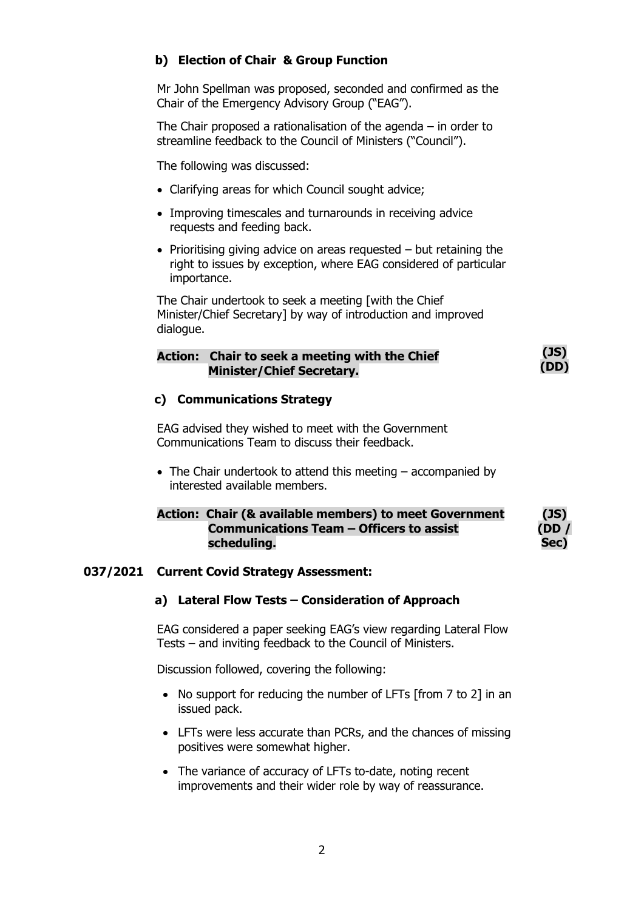## **b) Election of Chair & Group Function**

Mr John Spellman was proposed, seconded and confirmed as the Chair of the Emergency Advisory Group ("EAG").

The Chair proposed a rationalisation of the agenda – in order to streamline feedback to the Council of Ministers ("Council").

The following was discussed:

- Clarifying areas for which Council sought advice;
- Improving timescales and turnarounds in receiving advice requests and feeding back.
- Prioritising giving advice on areas requested but retaining the right to issues by exception, where EAG considered of particular importance.

The Chair undertook to seek a meeting [with the Chief Minister/Chief Secretary] by way of introduction and improved dialogue.

|  | Action: Chair to seek a meeting with the Chief | (JS)<br>(DD) |
|--|------------------------------------------------|--------------|
|  | <b>Minister/Chief Secretary.</b>               |              |

### **c) Communications Strategy**

EAG advised they wished to meet with the Government Communications Team to discuss their feedback.

• The Chair undertook to attend this meeting – accompanied by interested available members.

### **Action: Chair (& available members) to meet Government Communications Team – Officers to assist scheduling.**

#### **(JS) (DD / Sec)**

### **037/2021 Current Covid Strategy Assessment:**

### **a) Lateral Flow Tests – Consideration of Approach**

EAG considered a paper seeking EAG's view regarding Lateral Flow Tests – and inviting feedback to the Council of Ministers.

Discussion followed, covering the following:

- No support for reducing the number of LFTs [from 7 to 2] in an issued pack.
- LFTs were less accurate than PCRs, and the chances of missing positives were somewhat higher.
- The variance of accuracy of LFTs to-date, noting recent improvements and their wider role by way of reassurance.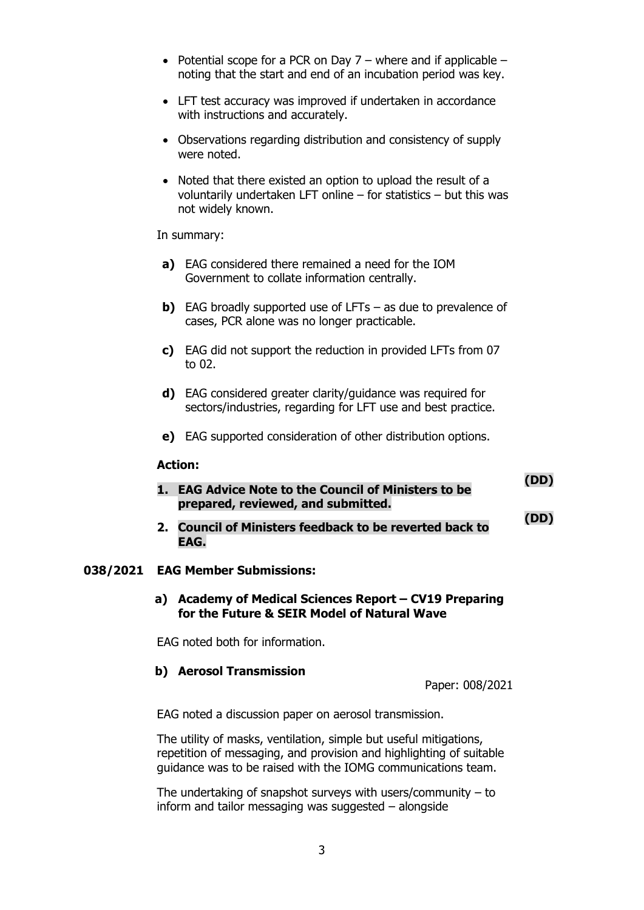- Potential scope for a PCR on Day  $7$  where and if applicable noting that the start and end of an incubation period was key.
- LFT test accuracy was improved if undertaken in accordance with instructions and accurately.
- Observations regarding distribution and consistency of supply were noted.
- Noted that there existed an option to upload the result of a voluntarily undertaken LFT online – for statistics – but this was not widely known.

In summary:

- **a)** EAG considered there remained a need for the IOM Government to collate information centrally.
- **b)** EAG broadly supported use of LFTs as due to prevalence of cases, PCR alone was no longer practicable.
- **c)** EAG did not support the reduction in provided LFTs from 07 to 02.
- **d)** EAG considered greater clarity/guidance was required for sectors/industries, regarding for LFT use and best practice.
- **e)** EAG supported consideration of other distribution options.

#### **Action:**

| 1. EAG Advice Note to the Council of Ministers to be | (UD) |
|------------------------------------------------------|------|
| prepared, reviewed, and submitted.                   |      |

**2. Council of Ministers feedback to be reverted back to EAG. (DD)**

### **038/2021 EAG Member Submissions:**

**a) Academy of Medical Sciences Report – CV19 Preparing for the Future & SEIR Model of Natural Wave**

EAG noted both for information.

### **b) Aerosol Transmission**

Paper: 008/2021

 $\lambda = -1$ 

EAG noted a discussion paper on aerosol transmission.

The utility of masks, ventilation, simple but useful mitigations, repetition of messaging, and provision and highlighting of suitable guidance was to be raised with the IOMG communications team.

The undertaking of snapshot surveys with users/community  $-$  to inform and tailor messaging was suggested – alongside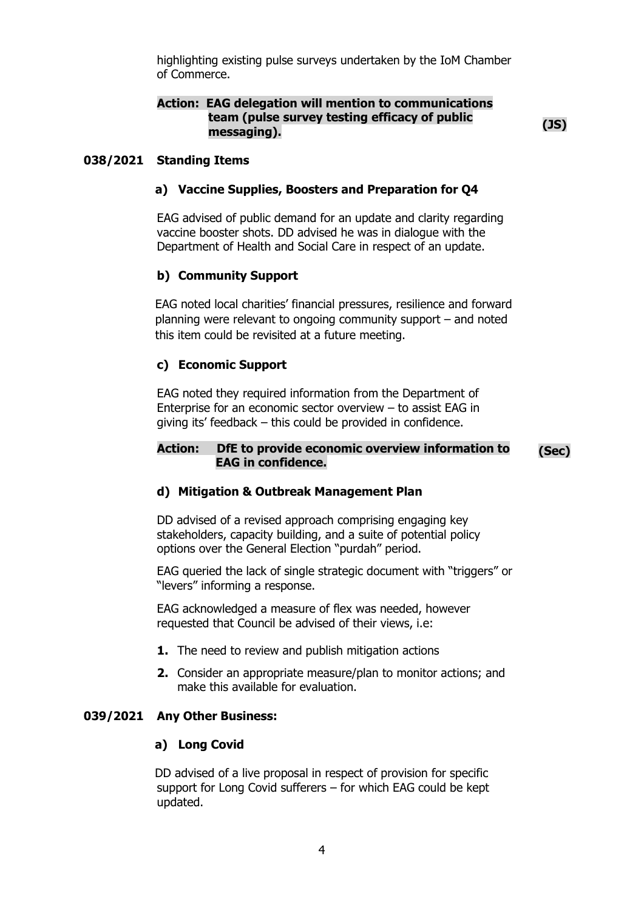highlighting existing pulse surveys undertaken by the IoM Chamber of Commerce.

### **Action: EAG delegation will mention to communications team (pulse survey testing efficacy of public messaging). (JS)**

### **038/2021 Standing Items**

### **a) Vaccine Supplies, Boosters and Preparation for Q4**

EAG advised of public demand for an update and clarity regarding vaccine booster shots. DD advised he was in dialogue with the Department of Health and Social Care in respect of an update.

#### **b) Community Support**

EAG noted local charities' financial pressures, resilience and forward planning were relevant to ongoing community support – and noted this item could be revisited at a future meeting.

#### **c) Economic Support**

EAG noted they required information from the Department of Enterprise for an economic sector overview – to assist EAG in giving its' feedback – this could be provided in confidence.

#### **Action: DfE to provide economic overview information to EAG in confidence. (Sec)**

### **d) Mitigation & Outbreak Management Plan**

DD advised of a revised approach comprising engaging key stakeholders, capacity building, and a suite of potential policy options over the General Election "purdah" period.

EAG queried the lack of single strategic document with "triggers" or "levers" informing a response.

EAG acknowledged a measure of flex was needed, however requested that Council be advised of their views, i.e:

- **1.** The need to review and publish mitigation actions
- **2.** Consider an appropriate measure/plan to monitor actions; and make this available for evaluation.

#### **039/2021 Any Other Business:**

#### **a) Long Covid**

DD advised of a live proposal in respect of provision for specific support for Long Covid sufferers – for which EAG could be kept updated.